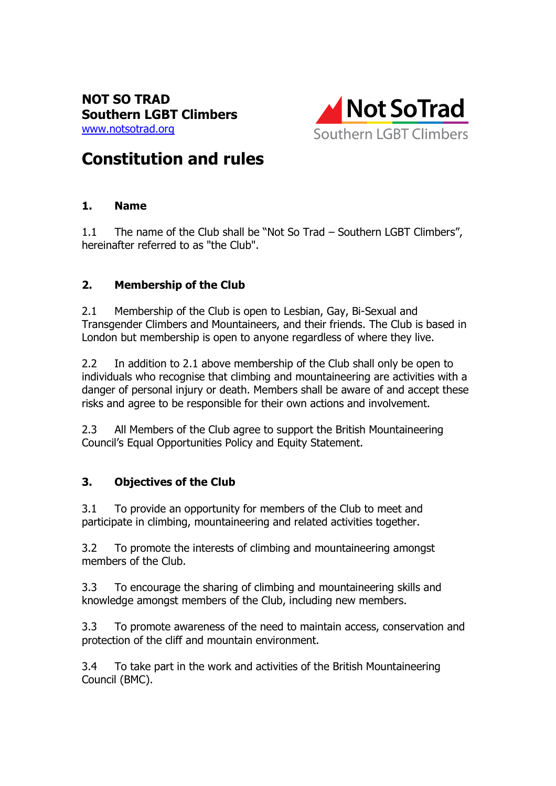

# Constitution and rules

## 1. Name

1.1 The name of the Club shall be "Not So Trad – Southern LGBT Climbers", hereinafter referred to as "the Club".

# 2. Membership of the Club

2.1 Membership of the Club is open to Lesbian, Gay, Bi-Sexual and Transgender Climbers and Mountaineers, and their friends. The Club is based in London but membership is open to anyone regardless of where they live.

2.2 In addition to 2.1 above membership of the Club shall only be open to individuals who recognise that climbing and mountaineering are activities with a danger of personal injury or death. Members shall be aware of and accept these risks and agree to be responsible for their own actions and involvement.

2.3 All Members of the Club agree to support the British Mountaineering Council's Equal Opportunities Policy and Equity Statement.

# 3. Objectives of the Club

3.1 To provide an opportunity for members of the Club to meet and participate in climbing, mountaineering and related activities together.

3.2 To promote the interests of climbing and mountaineering amongst members of the Club.

3.3 To encourage the sharing of climbing and mountaineering skills and knowledge amongst members of the Club, including new members.

3.3 To promote awareness of the need to maintain access, conservation and protection of the cliff and mountain environment.

3.4 To take part in the work and activities of the British Mountaineering Council (BMC).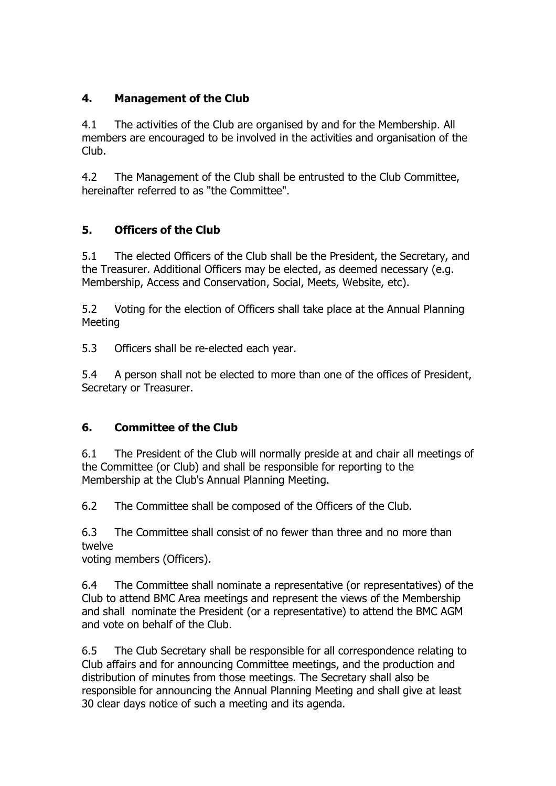## 4. Management of the Club

4.1 The activities of the Club are organised by and for the Membership. All members are encouraged to be involved in the activities and organisation of the Club.

4.2 The Management of the Club shall be entrusted to the Club Committee, hereinafter referred to as "the Committee".

## 5. Officers of the Club

5.1 The elected Officers of the Club shall be the President, the Secretary, and the Treasurer. Additional Officers may be elected, as deemed necessary (e.g. Membership, Access and Conservation, Social, Meets, Website, etc).

5.2 Voting for the election of Officers shall take place at the Annual Planning Meeting

5.3 Officers shall be re-elected each year.

5.4 A person shall not be elected to more than one of the offices of President, Secretary or Treasurer.

## 6. Committee of the Club

6.1 The President of the Club will normally preside at and chair all meetings of the Committee (or Club) and shall be responsible for reporting to the Membership at the Club's Annual Planning Meeting.

6.2 The Committee shall be composed of the Officers of the Club.

6.3 The Committee shall consist of no fewer than three and no more than twelve

voting members (Officers).

6.4 The Committee shall nominate a representative (or representatives) of the Club to attend BMC Area meetings and represent the views of the Membership and shall nominate the President (or a representative) to attend the BMC AGM and vote on behalf of the Club.

6.5 The Club Secretary shall be responsible for all correspondence relating to Club affairs and for announcing Committee meetings, and the production and distribution of minutes from those meetings. The Secretary shall also be responsible for announcing the Annual Planning Meeting and shall give at least 30 clear days notice of such a meeting and its agenda.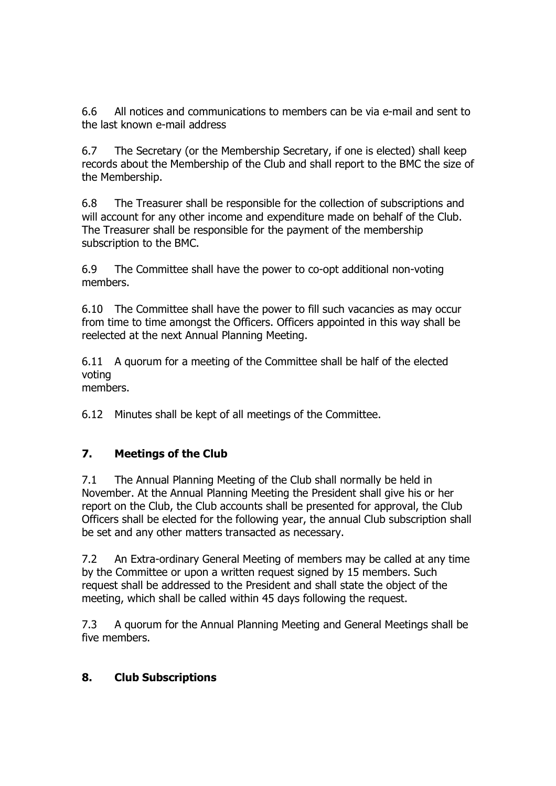6.6 All notices and communications to members can be via e-mail and sent to the last known e-mail address

6.7 The Secretary (or the Membership Secretary, if one is elected) shall keep records about the Membership of the Club and shall report to the BMC the size of the Membership.

6.8 The Treasurer shall be responsible for the collection of subscriptions and will account for any other income and expenditure made on behalf of the Club. The Treasurer shall be responsible for the payment of the membership subscription to the BMC.

6.9 The Committee shall have the power to co-opt additional non-voting members.

6.10 The Committee shall have the power to fill such vacancies as may occur from time to time amongst the Officers. Officers appointed in this way shall be reelected at the next Annual Planning Meeting.

6.11 A quorum for a meeting of the Committee shall be half of the elected voting members.

6.12 Minutes shall be kept of all meetings of the Committee.

## 7. Meetings of the Club

7.1 The Annual Planning Meeting of the Club shall normally be held in November. At the Annual Planning Meeting the President shall give his or her report on the Club, the Club accounts shall be presented for approval, the Club Officers shall be elected for the following year, the annual Club subscription shall be set and any other matters transacted as necessary.

7.2 An Extra-ordinary General Meeting of members may be called at any time by the Committee or upon a written request signed by 15 members. Such request shall be addressed to the President and shall state the object of the meeting, which shall be called within 45 days following the request.

7.3 A quorum for the Annual Planning Meeting and General Meetings shall be five members.

#### 8. Club Subscriptions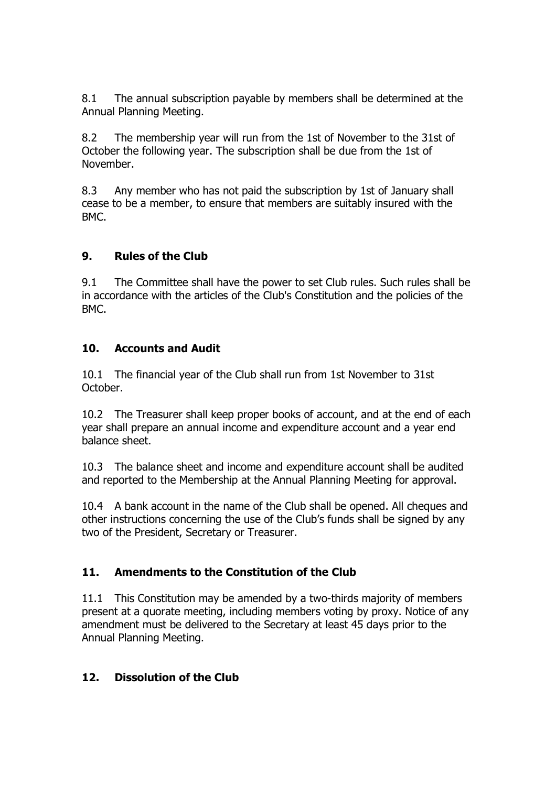8.1 The annual subscription payable by members shall be determined at the Annual Planning Meeting.

8.2 The membership year will run from the 1st of November to the 31st of October the following year. The subscription shall be due from the 1st of November.

8.3 Any member who has not paid the subscription by 1st of January shall cease to be a member, to ensure that members are suitably insured with the BMC.

## 9. Rules of the Club

9.1 The Committee shall have the power to set Club rules. Such rules shall be in accordance with the articles of the Club's Constitution and the policies of the BMC.

#### 10. Accounts and Audit

10.1 The financial year of the Club shall run from 1st November to 31st October.

10.2 The Treasurer shall keep proper books of account, and at the end of each year shall prepare an annual income and expenditure account and a year end balance sheet.

10.3 The balance sheet and income and expenditure account shall be audited and reported to the Membership at the Annual Planning Meeting for approval.

10.4 A bank account in the name of the Club shall be opened. All cheques and other instructions concerning the use of the Club's funds shall be signed by any two of the President, Secretary or Treasurer.

## 11. Amendments to the Constitution of the Club

11.1 This Constitution may be amended by a two-thirds majority of members present at a quorate meeting, including members voting by proxy. Notice of any amendment must be delivered to the Secretary at least 45 days prior to the Annual Planning Meeting.

#### 12. Dissolution of the Club